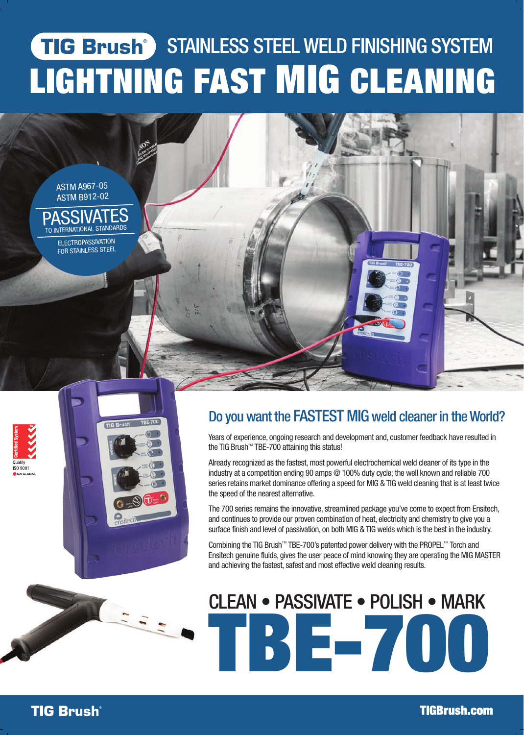## **TIG Brush** STAINLESS STEEL WELD FINISHING SYSTEM LIGHTNING FAST MIG CLEANING

ASTM A967-05 ASTM B912-02 **SSIVAT** 

TO INTERNATIONAL STANDARDS ELECTROPASSIVATION FOR STAINLESS STEEL





Years of experience, ongoing research and development and, customer feedback have resulted in the TIG Brush™ TBE-700 attaining this status!

Already recognized as the fastest, most powerful electrochemical weld cleaner of its type in the industry at a competition ending 90 amps @ 100% duty cycle; the well known and reliable 700 series retains market dominance offering a speed for MIG & TIG weld cleaning that is at least twice the speed of the nearest alternative.

The 700 series remains the innovative, streamlined package you've come to expect from Ensitech, and continues to provide our proven combination of heat, electricity and chemistry to give you a surface finish and level of passivation, on both MIG & TIG welds which is the best in the industry.

Combining the TIG Brush™ TBE-700's patented power delivery with the PROPEL™ Torch and Ensitech genuine fluids, gives the user peace of mind knowing they are operating the MIG MASTER and achieving the fastest, safest and most effective weld cleaning results.

# TBE-700 CLEAN • PASSIVATE • POLISH • MARK

**TIG Brush** 

AFRICA